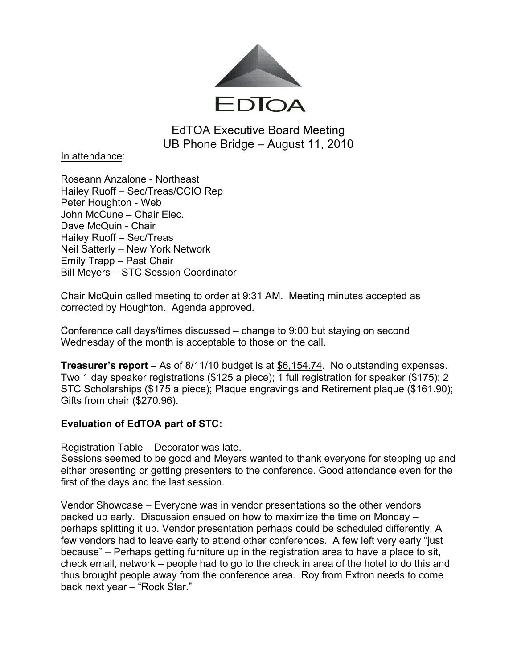

EdTOA Executive Board Meeting UB Phone Bridge – August 11, 2010

In attendance:

Roseann Anzalone - Northeast Hailey Ruoff – Sec/Treas/CCIO Rep Peter Houghton - Web John McCune – Chair Elec. Dave McQuin - Chair Hailey Ruoff – Sec/Treas Neil Satterly – New York Network Emily Trapp – Past Chair Bill Meyers – STC Session Coordinator

Chair McQuin called meeting to order at 9:31 AM. Meeting minutes accepted as corrected by Houghton. Agenda approved.

Conference call days/times discussed – change to 9:00 but staying on second Wednesday of the month is acceptable to those on the call.

**Treasurer's report** – As of 8/11/10 budget is at \$6,154.74. No outstanding expenses. Two 1 day speaker registrations (\$125 a piece); 1 full registration for speaker (\$175); 2 STC Scholarships (\$175 a piece); Plaque engravings and Retirement plaque (\$161.90); Gifts from chair (\$270.96).

# **Evaluation of EdTOA part of STC:**

Registration Table – Decorator was late.

Sessions seemed to be good and Meyers wanted to thank everyone for stepping up and either presenting or getting presenters to the conference. Good attendance even for the first of the days and the last session.

Vendor Showcase – Everyone was in vendor presentations so the other vendors packed up early. Discussion ensued on how to maximize the time on Monday – perhaps splitting it up. Vendor presentation perhaps could be scheduled differently. A few vendors had to leave early to attend other conferences. A few left very early "just because" – Perhaps getting furniture up in the registration area to have a place to sit, check email, network – people had to go to the check in area of the hotel to do this and thus brought people away from the conference area. Roy from Extron needs to come back next year – "Rock Star."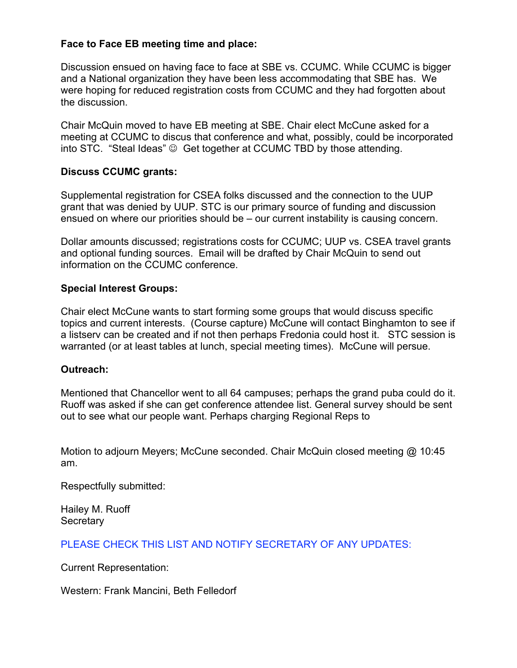## **Face to Face EB meeting time and place:**

Discussion ensued on having face to face at SBE vs. CCUMC. While CCUMC is bigger and a National organization they have been less accommodating that SBE has. We were hoping for reduced registration costs from CCUMC and they had forgotten about the discussion.

Chair McQuin moved to have EB meeting at SBE. Chair elect McCune asked for a meeting at CCUMC to discus that conference and what, possibly, could be incorporated into STC. "Steal Ideas"  $\odot$  Get together at CCUMC TBD by those attending.

### **Discuss CCUMC grants:**

Supplemental registration for CSEA folks discussed and the connection to the UUP grant that was denied by UUP. STC is our primary source of funding and discussion ensued on where our priorities should be – our current instability is causing concern.

Dollar amounts discussed; registrations costs for CCUMC; UUP vs. CSEA travel grants and optional funding sources. Email will be drafted by Chair McQuin to send out information on the CCUMC conference.

### **Special Interest Groups:**

Chair elect McCune wants to start forming some groups that would discuss specific topics and current interests. (Course capture) McCune will contact Binghamton to see if a listserv can be created and if not then perhaps Fredonia could host it. STC session is warranted (or at least tables at lunch, special meeting times). McCune will persue.

#### **Outreach:**

Mentioned that Chancellor went to all 64 campuses; perhaps the grand puba could do it. Ruoff was asked if she can get conference attendee list. General survey should be sent out to see what our people want. Perhaps charging Regional Reps to

Motion to adjourn Meyers; McCune seconded. Chair McQuin closed meeting @ 10:45 am.

Respectfully submitted:

Hailey M. Ruoff **Secretary** 

PLEASE CHECK THIS LIST AND NOTIFY SECRETARY OF ANY UPDATES:

Current Representation:

Western: Frank Mancini, Beth Felledorf